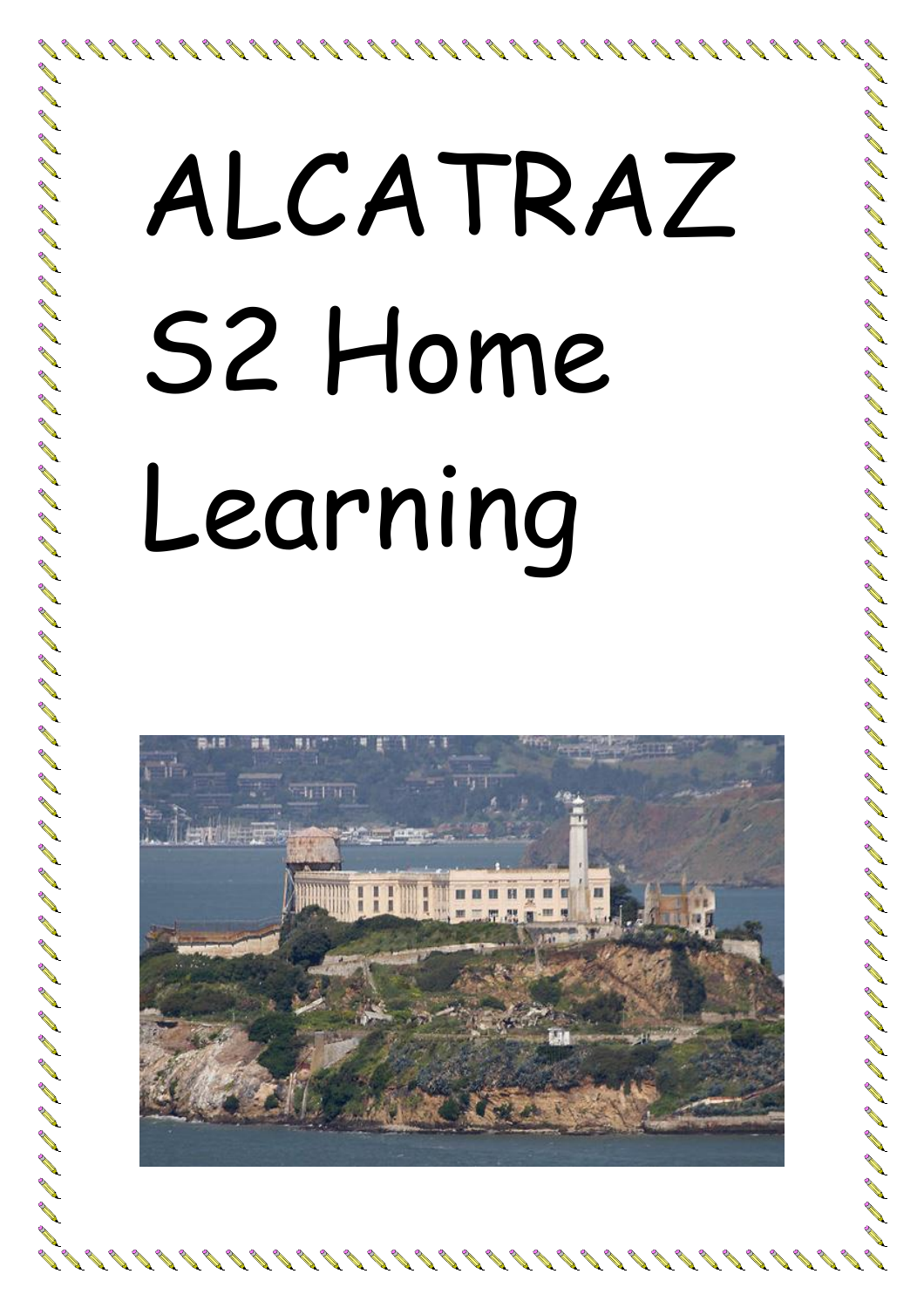# ALCATRAZ S2 Home Learning



にゅうりょう リーリ リーリ リーコ カイ ローリー ローリー ローリー ストレー ローレー コーヒー ローレー ローコー ローコー ローコー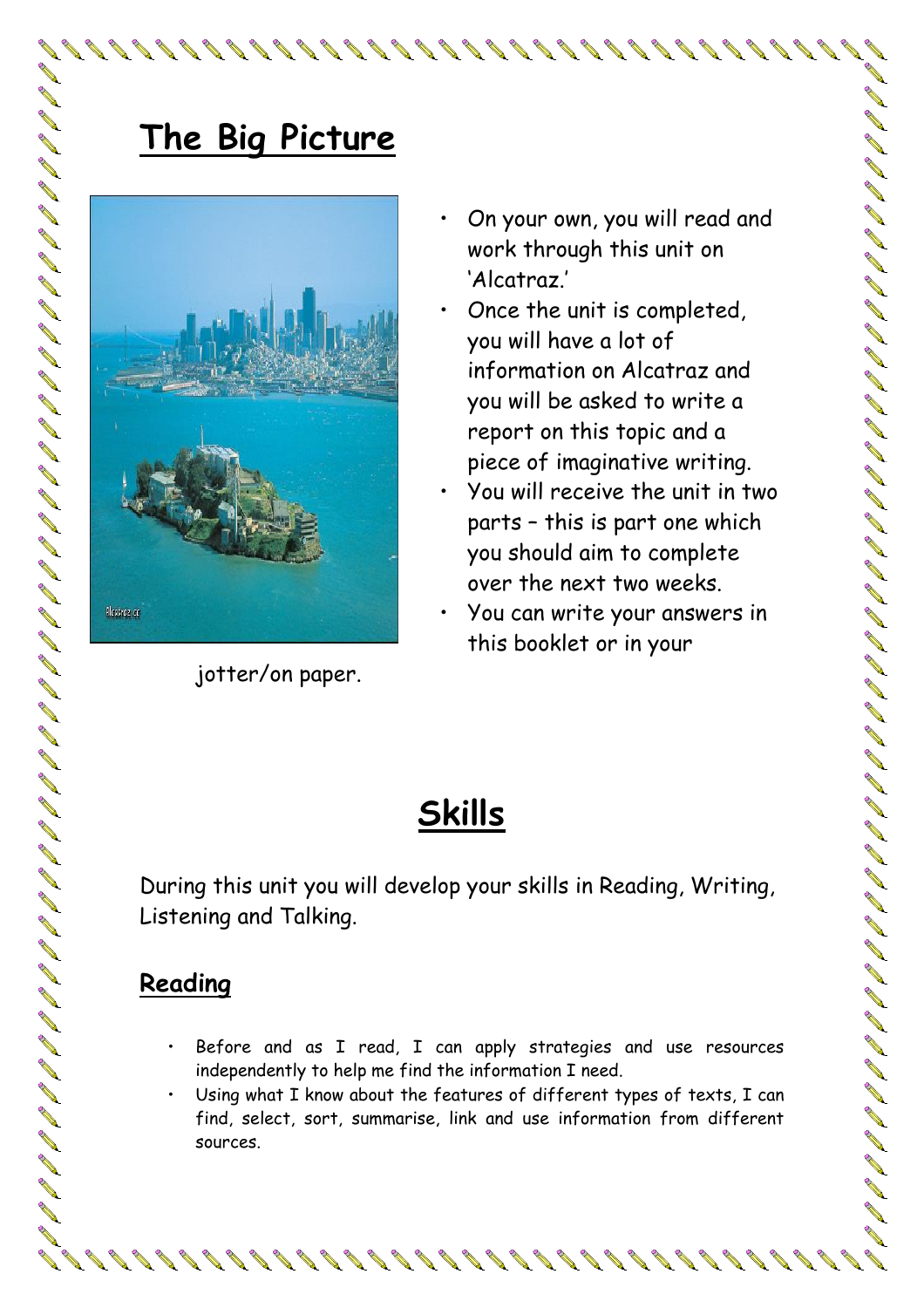# **The Big Picture**



jotter/on paper.

- On your own, you will read and work through this unit on 'Alcatraz.'
- Once the unit is completed, you will have a lot of information on Alcatraz and you will be asked to write a report on this topic and a piece of imaginative writing.
- You will receive the unit in two parts – this is part one which you should aim to complete over the next two weeks.
- You can write your answers in this booklet or in your

# **Skills**

During this unit you will develop your skills in Reading, Writing, Listening and Talking.

### **Reading**

- Before and as I read, I can apply strategies and use resources independently to help me find the information I need.
- Using what I know about the features of different types of texts, I can find, select, sort, summarise, link and use information from different sources.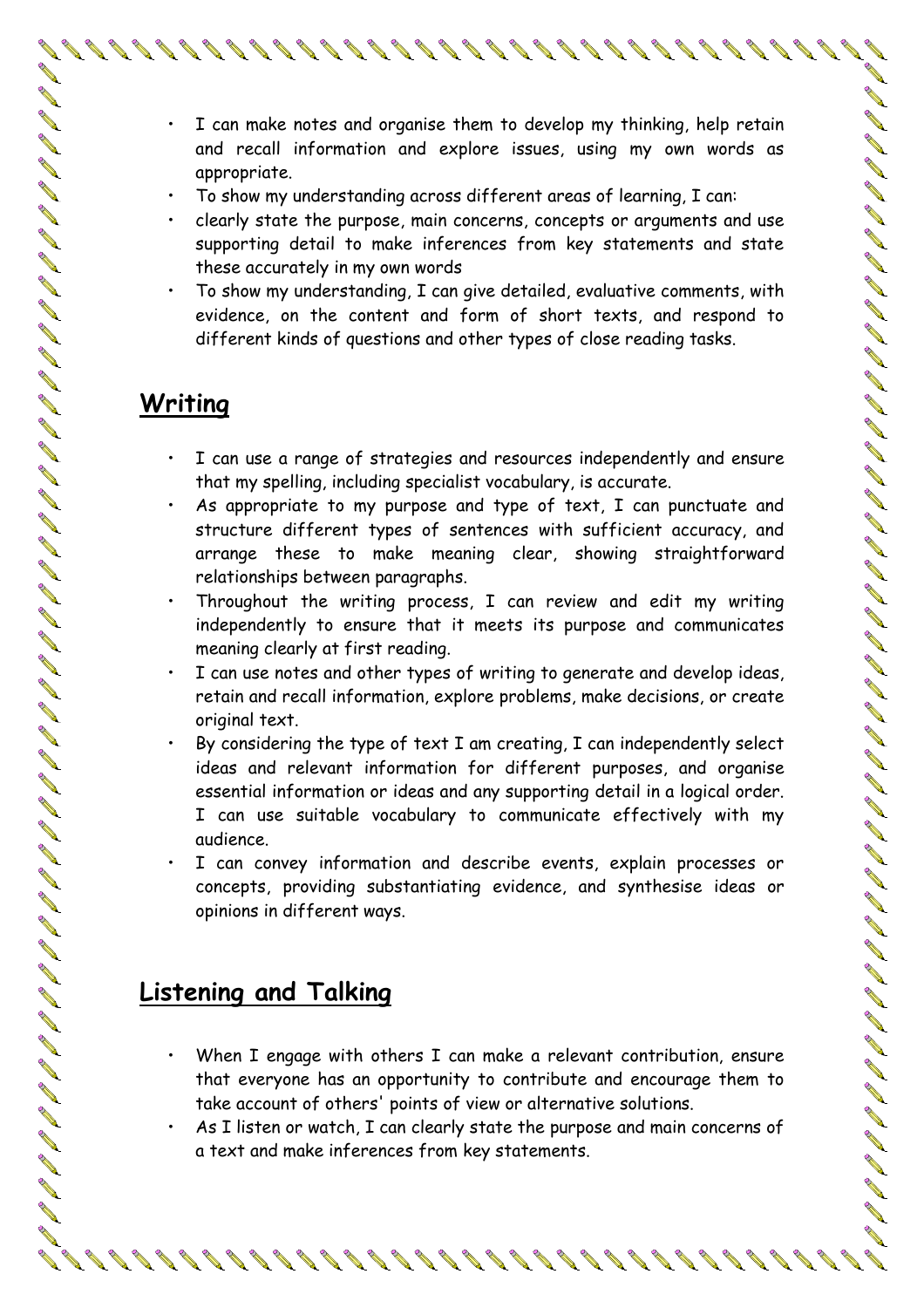• To show my understanding across different areas of learning, I can:

- clearly state the purpose, main concerns, concepts or arguments and use supporting detail to make inferences from key statements and state these accurately in my own words
- To show my understanding, I can give detailed, evaluative comments, with evidence, on the content and form of short texts, and respond to different kinds of questions and other types of close reading tasks.

#### **Writing**

イイルリクリカリ イクリア カメリア カイカリ クリア クリアリ ストリ コイトリア コイトリア コイトリア コイト

- I can use a range of strategies and resources independently and ensure that my spelling, including specialist vocabulary, is accurate.
- As appropriate to my purpose and type of text, I can punctuate and structure different types of sentences with sufficient accuracy, and arrange these to make meaning clear, showing straightforward relationships between paragraphs.
- Throughout the writing process, I can review and edit my writing independently to ensure that it meets its purpose and communicates meaning clearly at first reading.
- I can use notes and other types of writing to generate and develop ideas, retain and recall information, explore problems, make decisions, or create original text.
- By considering the type of text  $I$  am creating,  $I$  can independently select ideas and relevant information for different purposes, and organise essential information or ideas and any supporting detail in a logical order. I can use suitable vocabulary to communicate effectively with my audience.
- I can convey information and describe events, explain processes or concepts, providing substantiating evidence, and synthesise ideas or opinions in different ways.

#### **Listening and Talking**

- When I engage with others I can make a relevant contribution, ensure that everyone has an opportunity to contribute and encourage them to take account of others' points of view or alternative solutions.
- As I listen or watch, I can clearly state the purpose and main concerns of a text and make inferences from key statements.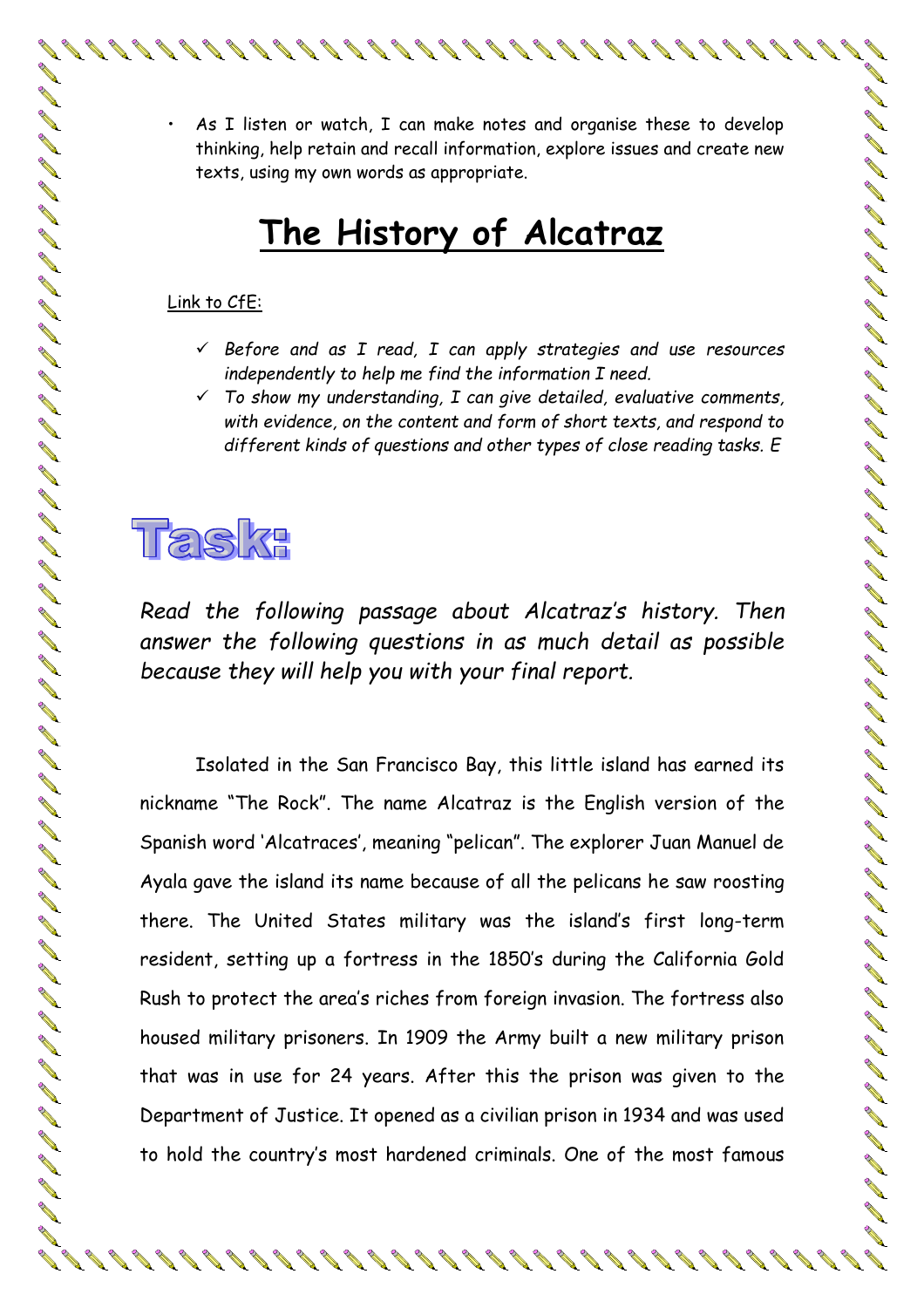• As I listen or watch, I can make notes and organise these to develop thinking, help retain and recall information, explore issues and create new texts, using my own words as appropriate.

# **The History of Alcatraz**

#### Link to CfE:

- ✓ *Before and as I read, I can apply strategies and use resources independently to help me find the information I need.*
- ✓ *To show my understanding, I can give detailed, evaluative comments, with evidence, on the content and form of short texts, and respond to different kinds of questions and other types of close reading tasks. E*



*Read the following passage about Alcatraz's history. Then answer the following questions in as much detail as possible because they will help you with your final report.* 

Isolated in the San Francisco Bay, this little island has earned its nickname "The Rock". The name Alcatraz is the English version of the Spanish word 'Alcatraces', meaning "pelican". The explorer Juan Manuel de Ayala gave the island its name because of all the pelicans he saw roosting there. The United States military was the island's first long-term resident, setting up a fortress in the 1850's during the California Gold Rush to protect the area's riches from foreign invasion. The fortress also housed military prisoners. In 1909 the Army built a new military prison that was in use for 24 years. After this the prison was given to the Department of Justice. It opened as a civilian prison in 1934 and was used to hold the country's most hardened criminals. One of the most famous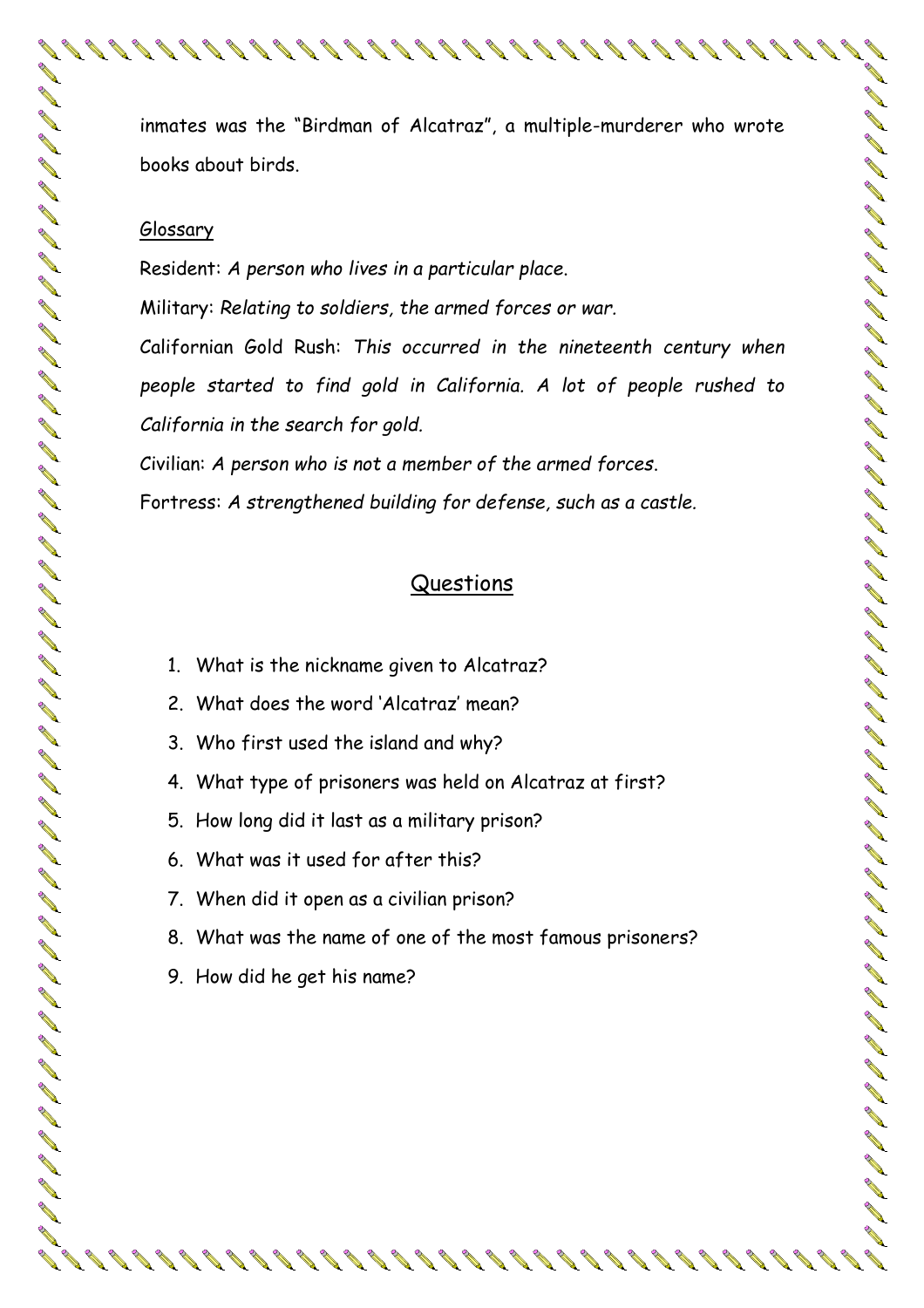inmates was the "Birdman of Alcatraz", a multiple-murderer who wrote books about birds.

#### Glossary

Resident: *A person who lives in a particular place*. Military: *Relating to soldiers, the armed forces or war.* Californian Gold Rush: *This occurred in the nineteenth century when people started to find gold in California. A lot of people rushed to California in the search for gold.*

Civilian: *A person who is not a member of the armed forces*. Fortress: *A strengthened building for defense, such as a castle.*

#### Questions

- 1. What is the nickname given to Alcatraz?
- 2. What does the word 'Alcatraz' mean?
- 3. Who first used the island and why?
- 4. What type of prisoners was held on Alcatraz at first?
- 5. How long did it last as a military prison?
- 6. What was it used for after this?
- 7. When did it open as a civilian prison?
- 8. What was the name of one of the most famous prisoners?

9. How did he get his name?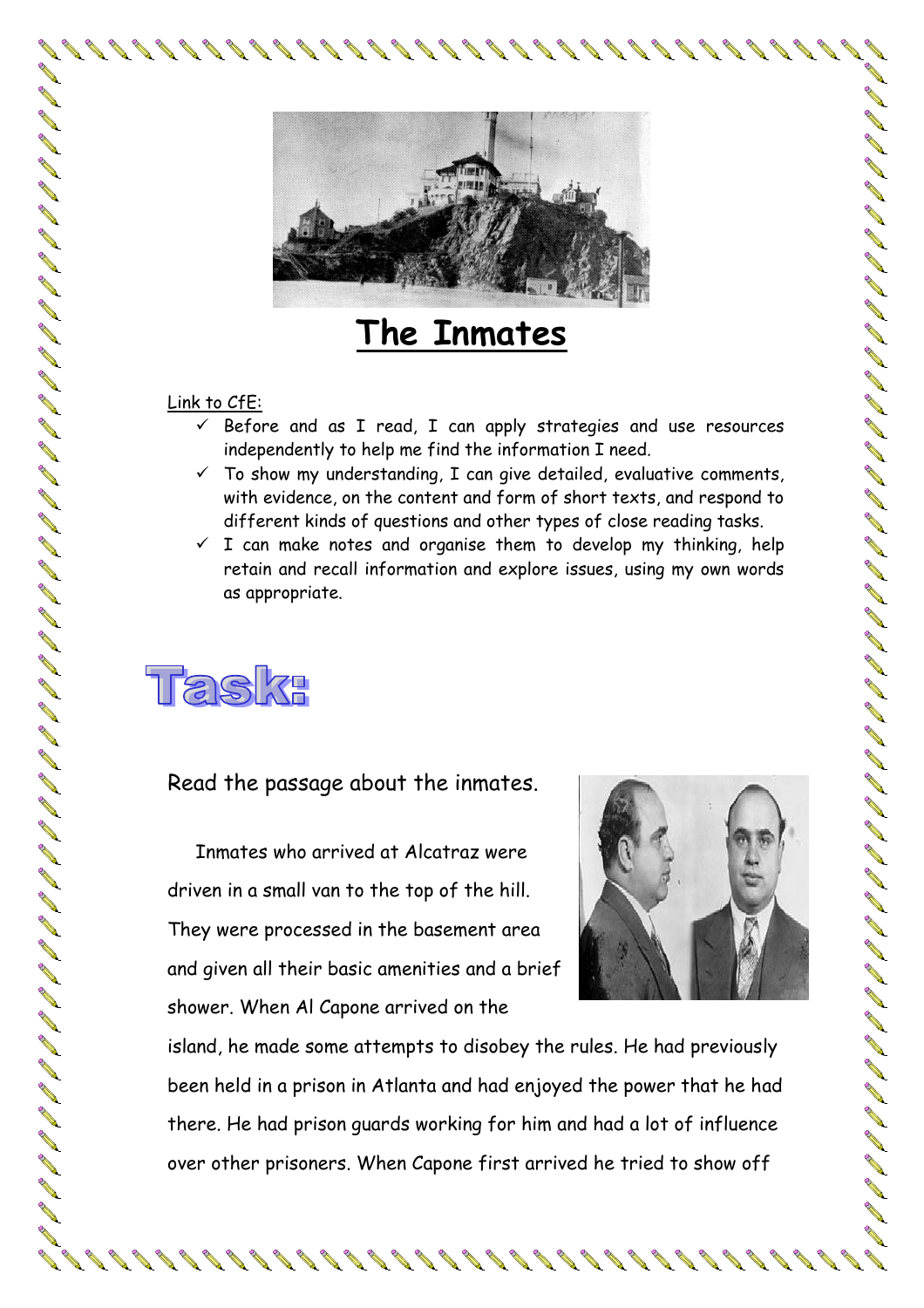

**The Inmates**

#### Link to CfE:

- $\checkmark$  Before and as I read, I can apply strategies and use resources independently to help me find the information I need.
- $\checkmark$  To show my understanding, I can give detailed, evaluative comments, with evidence, on the content and form of short texts, and respond to different kinds of questions and other types of close reading tasks.
- $\checkmark$  I can make notes and organise them to develop my thinking, help retain and recall information and explore issues, using my own words as appropriate.

# Taska

#### Read the passage about the inmates.

Inmates who arrived at Alcatraz were driven in a small van to the top of the hill. They were processed in the basement area and given all their basic amenities and a brief shower. When Al Capone arrived on the



インタインタイム インタイム インター インタイム インタイム インタイム インタイム インタイム インタイム インタイム

island, he made some attempts to disobey the rules. He had previously been held in a prison in Atlanta and had enjoyed the power that he had there. He had prison guards working for him and had a lot of influence over other prisoners. When Capone first arrived he tried to show off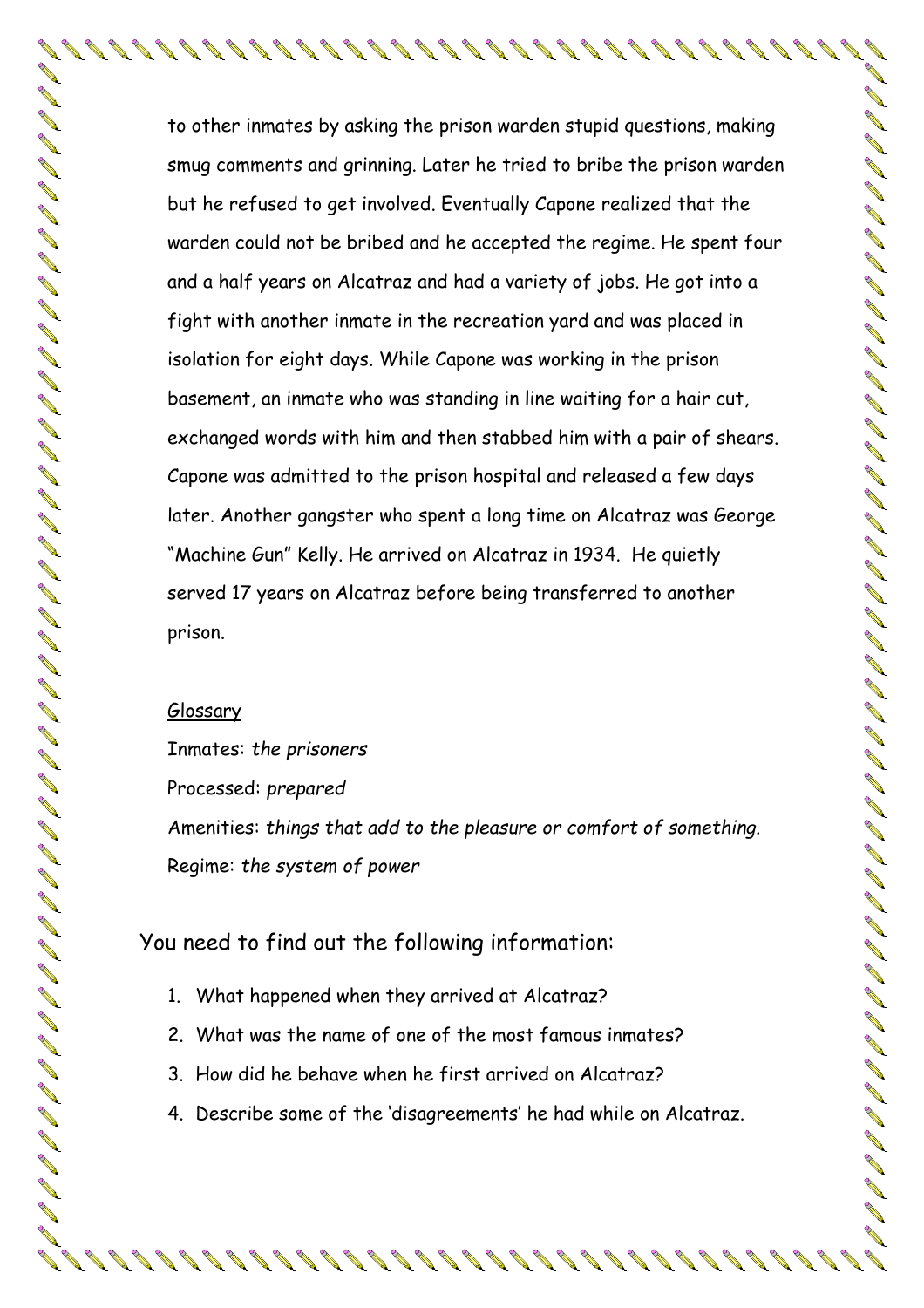to other inmates by asking the prison warden stupid questions, making smug comments and grinning. Later he tried to bribe the prison warden but he refused to get involved. Eventually Capone realized that the warden could not be bribed and he accepted the regime. He spent four and a half years on Alcatraz and had a variety of jobs. He got into a fight with another inmate in the recreation yard and was placed in isolation for eight days. While Capone was working in the prison basement, an inmate who was standing in line waiting for a hair cut, exchanged words with him and then stabbed him with a pair of shears. Capone was admitted to the prison hospital and released a few days later. Another gangster who spent a long time on Alcatraz was George "Machine Gun" Kelly. He arrived on Alcatraz in 1934. He quietly served 17 years on Alcatraz before being transferred to another prison.

#### Glossary

Inmates: *the prisoners* Processed: *prepared* Amenities: *things that add to the pleasure or comfort of something.* Regime: *the system of power*

You need to find out the following information:

- 1. What happened when they arrived at Alcatraz?
- 2. What was the name of one of the most famous inmates?
- 3. How did he behave when he first arrived on Alcatraz?
- 4. Describe some of the 'disagreements' he had while on Alcatraz.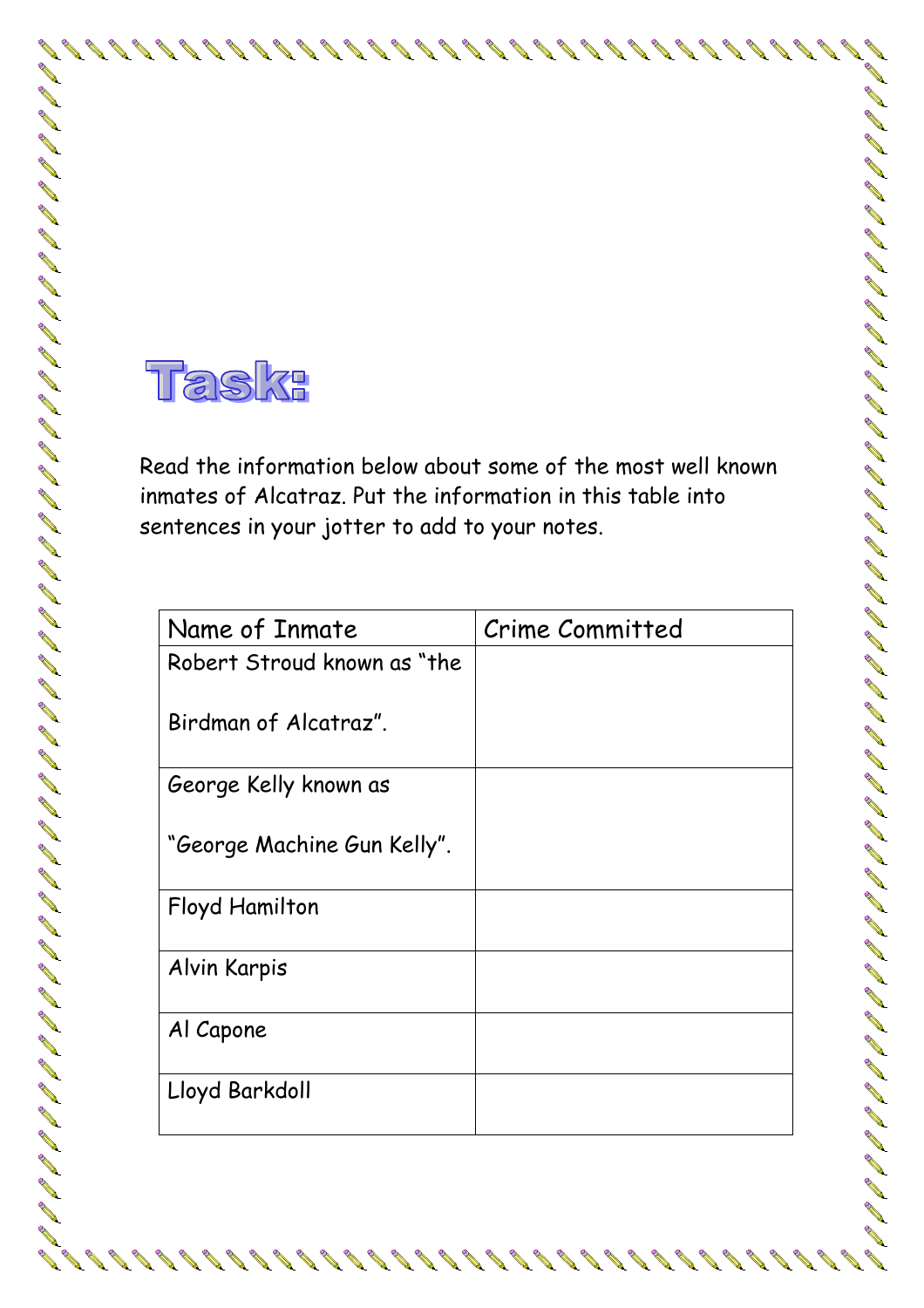

Read the information below about some of the most well known inmates of Alcatraz. Put the information in this table into sentences in your jotter to add to your notes.

| Name of Inmate              | Crime Committed |
|-----------------------------|-----------------|
| Robert Stroud known as "the |                 |
| Birdman of Alcatraz".       |                 |
| George Kelly known as       |                 |
| "George Machine Gun Kelly". |                 |
| Floyd Hamilton              |                 |
| Alvin Karpis                |                 |
| Al Capone                   |                 |
| Lloyd Barkdoll              |                 |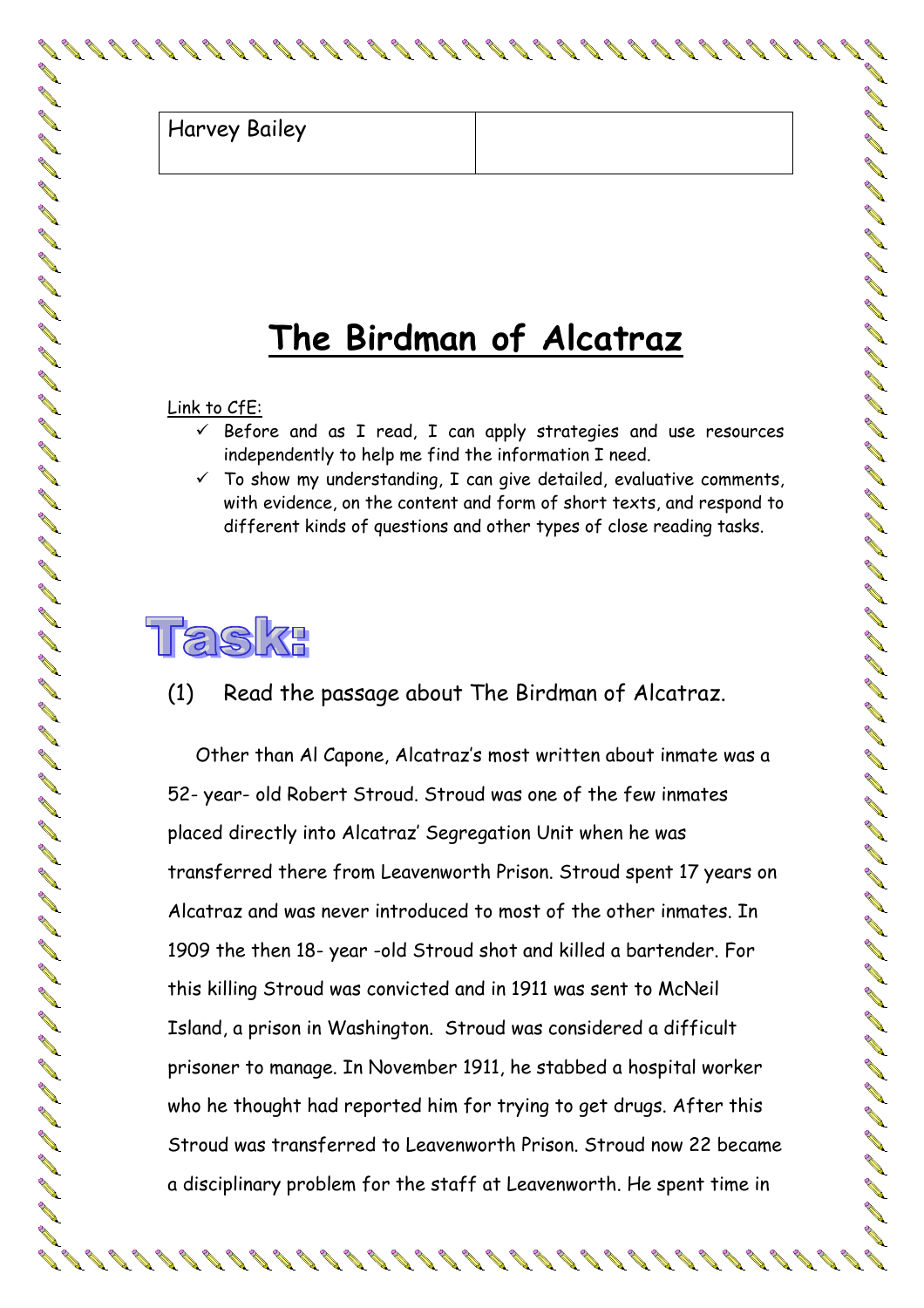# **The Birdman of Alcatraz**

Link to CfE:

- Before and as I read, I can apply strategies and use resources independently to help me find the information I need.
- $\checkmark$  To show my understanding, I can give detailed, evaluative comments, with evidence, on the content and form of short texts, and respond to different kinds of questions and other types of close reading tasks.

# Taska

(1) Read the passage about The Birdman of Alcatraz.

Marvey Bailey<br>
Harvey Bailey<br>
Harvey Bailey<br>
Harvey Bailey<br>
The Solution of Before an<br>
independent of Transferred with evident<br>
of the man different interaction<br>
(1) Read the<br>
Other than A<br>
Developed directly interaction<br> Other than Al Capone, Alcatraz's most written about inmate was a 52- year- old Robert Stroud. Stroud was one of the few inmates placed directly into Alcatraz' Segregation Unit when he was transferred there from Leavenworth Prison. Stroud spent 17 years on Alcatraz and was never introduced to most of the other inmates. In 1909 the then 18- year -old Stroud shot and killed a bartender. For this killing Stroud was convicted and in 1911 was sent to McNeil Island, a prison in Washington. Stroud was considered a difficult prisoner to manage. In November 1911, he stabbed a hospital worker who he thought had reported him for trying to get drugs. After this Stroud was transferred to Leavenworth Prison. Stroud now 22 became a disciplinary problem for the staff at Leavenworth. He spent time in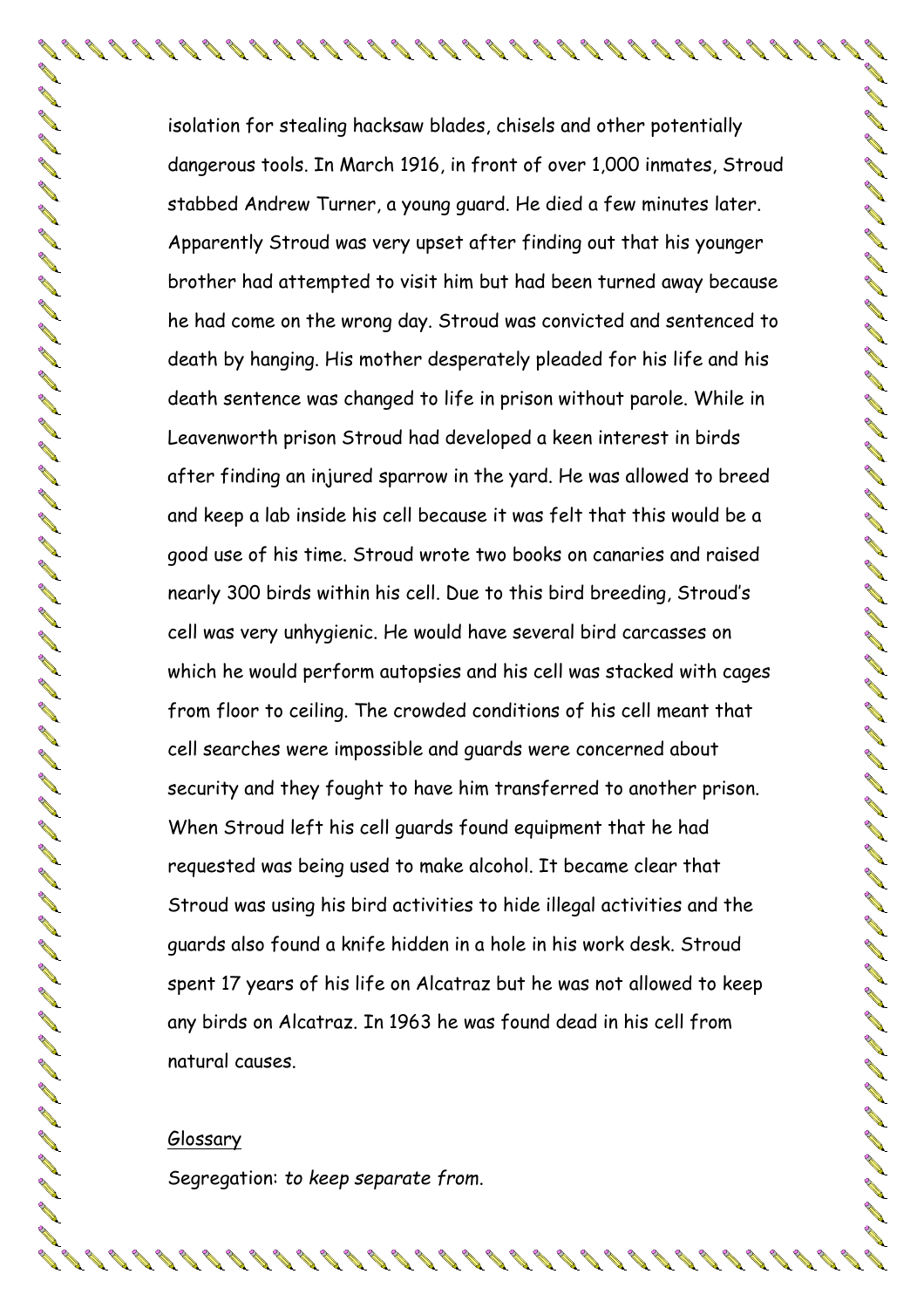isolation for stealing hacksaw blades, chisels and other potentially dangerous tools. In March 1916, in front of over 1,000 inmates, Stroud stabbed Andrew Turner, a young guard. He died a few minutes later. Apparently Stroud was very upset after finding out that his younger brother had attempted to visit him but had been turned away because he had come on the wrong day. Stroud was convicted and sentenced to death by hanging. His mother desperately pleaded for his life and his death sentence was changed to life in prison without parole. While in Leavenworth prison Stroud had developed a keen interest in birds after finding an injured sparrow in the yard. He was allowed to breed and keep a lab inside his cell because it was felt that this would be a good use of his time. Stroud wrote two books on canaries and raised nearly 300 birds within his cell. Due to this bird breeding, Stroud's cell was very unhygienic. He would have several bird carcasses on which he would perform autopsies and his cell was stacked with cages from floor to ceiling. The crowded conditions of his cell meant that cell searches were impossible and guards were concerned about security and they fought to have him transferred to another prison. When Stroud left his cell guards found equipment that he had requested was being used to make alcohol. It became clear that Stroud was using his bird activities to hide illegal activities and the guards also found a knife hidden in a hole in his work desk. Stroud spent 17 years of his life on Alcatraz but he was not allowed to keep any birds on Alcatraz. In 1963 he was found dead in his cell from natural causes.

#### Glossary

Segregation: *to keep separate from*.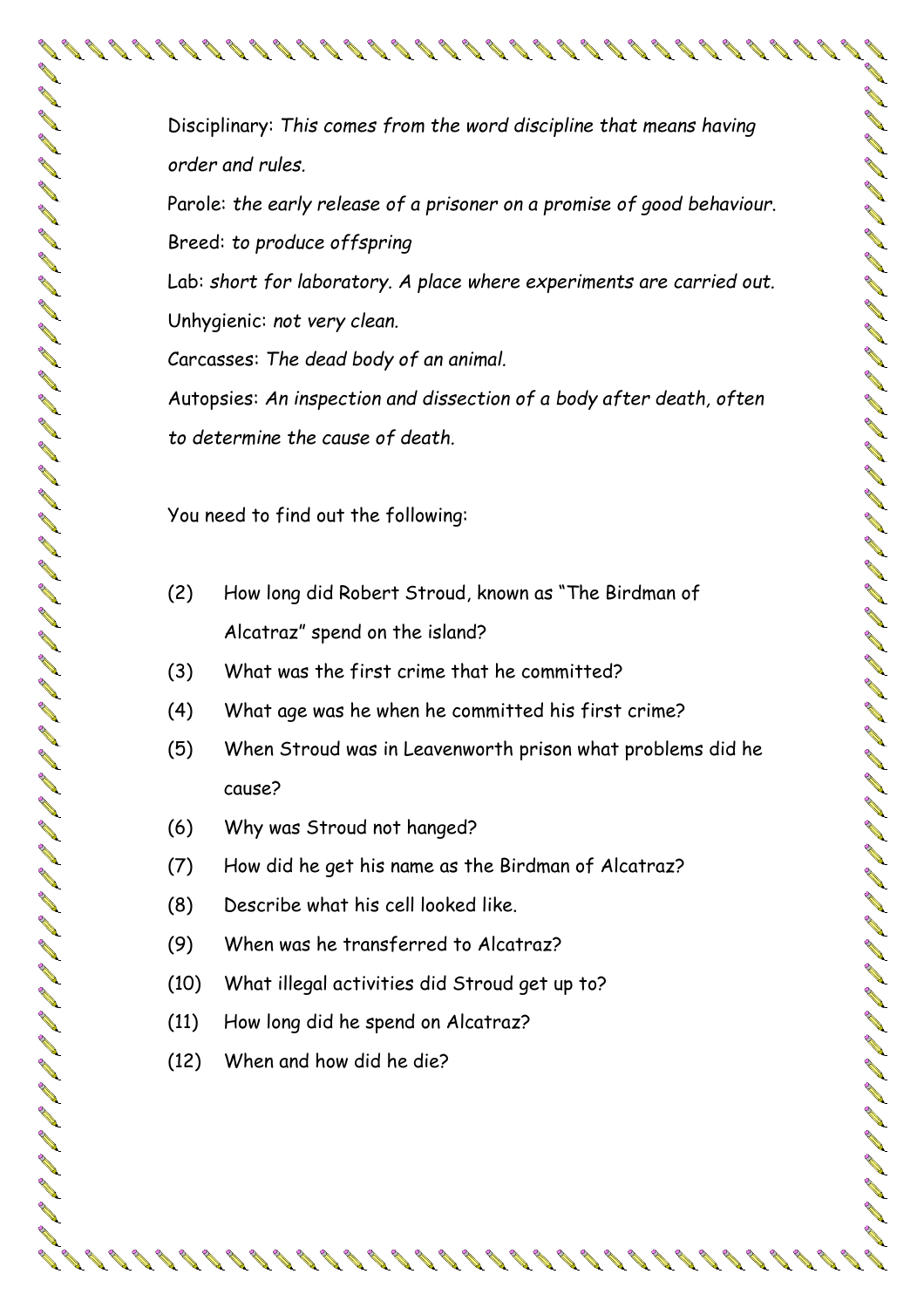Disciplinary: *This comes from the word discipline that means having order and rules.* Parole: *the early release of a prisoner on a promise of good behaviour*.

Breed: *to produce offspring*

Lab: *short for laboratory. A place where experiments are carried out.* Unhygienic: *not very clean.*

Carcasses: *The dead body of an animal.*

Autopsies: *An inspection and dissection of a body after death, often to determine the cause of death.*

You need to find out the following:

- (2) How long did Robert Stroud, known as "The Birdman of Alcatraz" spend on the island?
- (3) What was the first crime that he committed?
- (4) What age was he when he committed his first crime?
- (5) When Stroud was in Leavenworth prison what problems did he cause?

- (6) Why was Stroud not hanged?
- (7) How did he get his name as the Birdman of Alcatraz?
- (8) Describe what his cell looked like.
- (9) When was he transferred to Alcatraz?
- (10) What illegal activities did Stroud get up to?
- (11) How long did he spend on Alcatraz?
- (12) When and how did he die?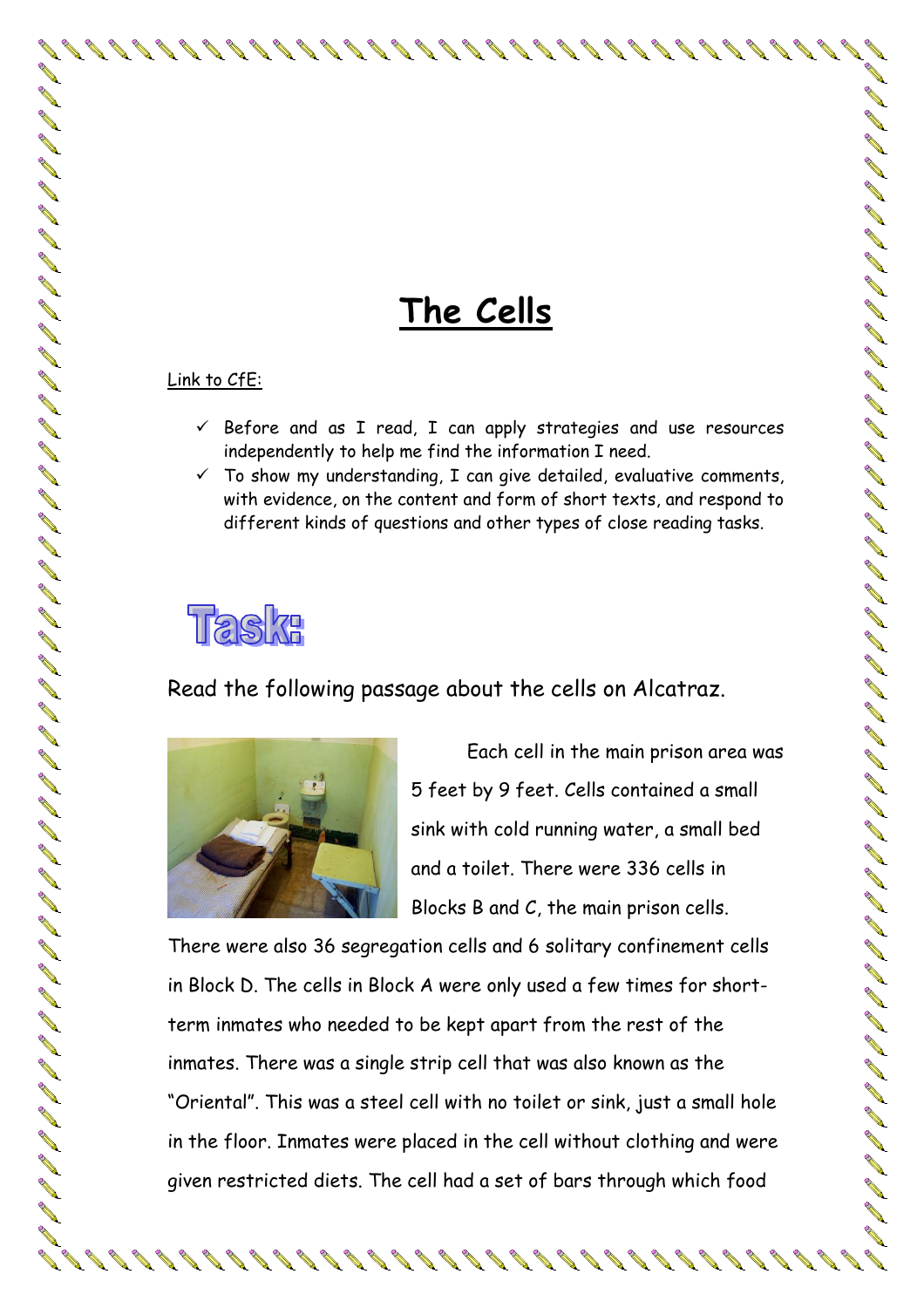# **The Cells**

#### Link to CfE:

- $\checkmark$  Before and as I read, I can apply strategies and use resources independently to help me find the information I need.
- $\checkmark$  To show my understanding, I can give detailed, evaluative comments, with evidence, on the content and form of short texts, and respond to different kinds of questions and other types of close reading tasks.



Read the following passage about the cells on Alcatraz.



Each cell in the main prison area was 5 feet by 9 feet. Cells contained a small sink with cold running water, a small bed and a toilet. There were 336 cells in Blocks B and C, the main prison cells.

There were also 36 segregation cells and 6 solitary confinement cells in Block D. The cells in Block A were only used a few times for shortterm inmates who needed to be kept apart from the rest of the inmates. There was a single strip cell that was also known as the "Oriental". This was a steel cell with no toilet or sink, just a small hole in the floor. Inmates were placed in the cell without clothing and were given restricted diets. The cell had a set of bars through which food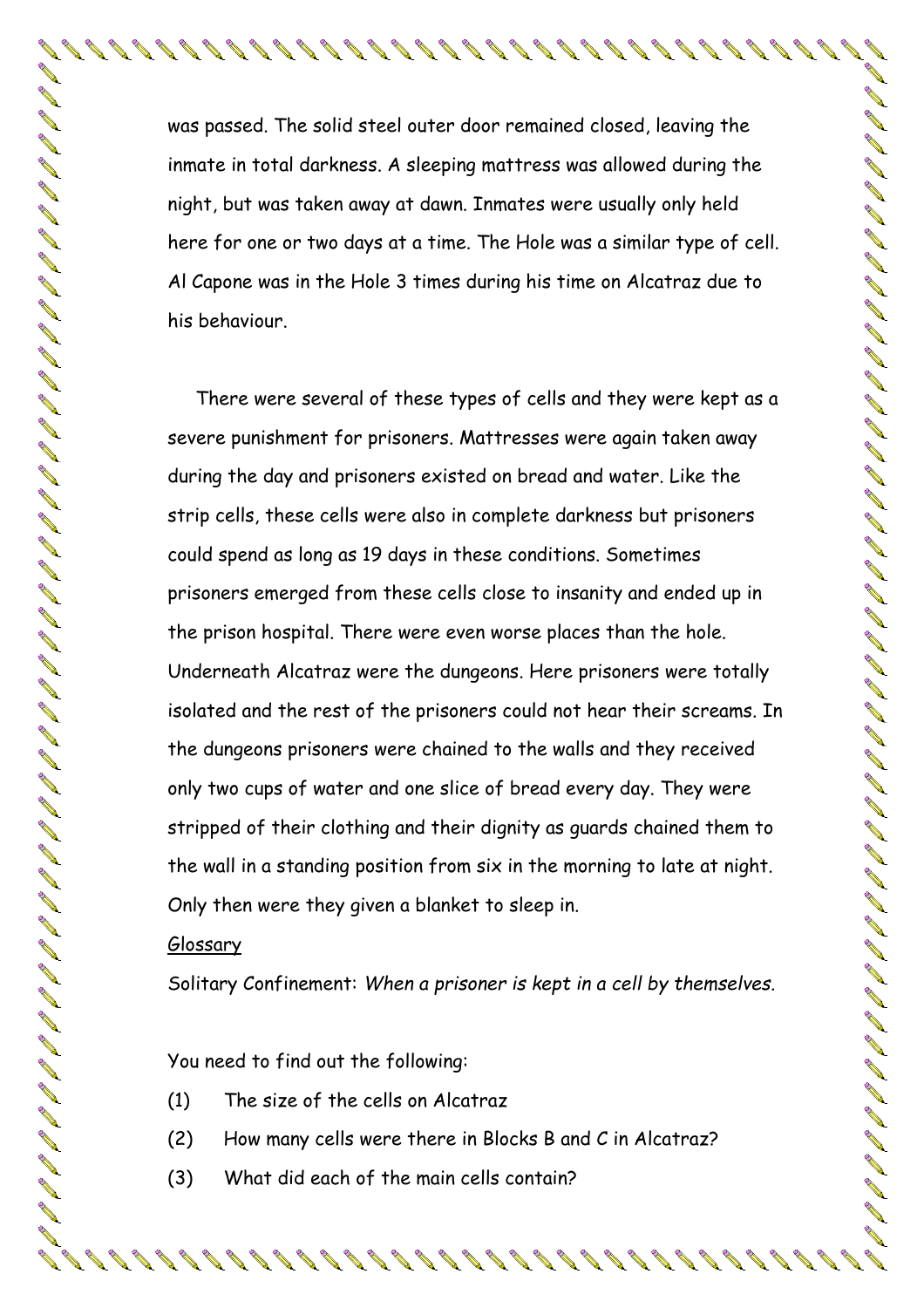was passed. The solid steel outer door remained closed, leaving the inmate in total darkness. A sleeping mattress was allowed during the night, but was taken away at dawn. Inmates were usually only held here for one or two days at a time. The Hole was a similar type of cell. Al Capone was in the Hole 3 times during his time on Alcatraz due to his behaviour.

There were several of these types of cells and they were kept as a severe punishment for prisoners. Mattresses were again taken away during the day and prisoners existed on bread and water. Like the strip cells, these cells were also in complete darkness but prisoners could spend as long as 19 days in these conditions. Sometimes prisoners emerged from these cells close to insanity and ended up in the prison hospital. There were even worse places than the hole. Underneath Alcatraz were the dungeons. Here prisoners were totally isolated and the rest of the prisoners could not hear their screams. In the dungeons prisoners were chained to the walls and they received only two cups of water and one slice of bread every day. They were stripped of their clothing and their dignity as guards chained them to the wall in a standing position from six in the morning to late at night. Only then were they given a blanket to sleep in.

#### Glossary

Solitary Confinement: *When a prisoner is kept in a cell by themselves*.

You need to find out the following:

- (1) The size of the cells on Alcatraz
- (2) How many cells were there in Blocks B and C in Alcatraz?

(3) What did each of the main cells contain?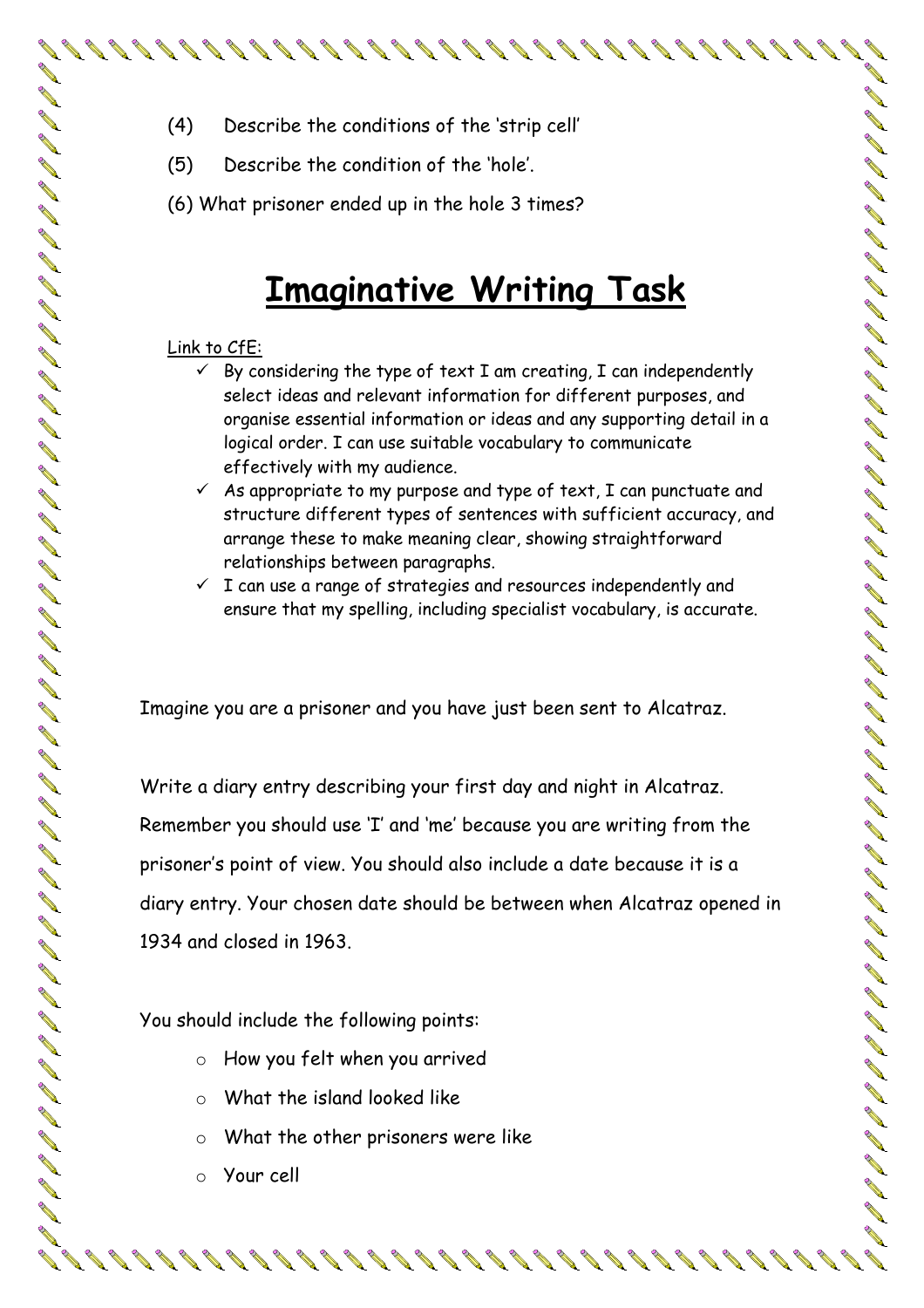- (4) Describe the conditions of the 'strip cell'
- (5) Describe the condition of the 'hole'.
- (6) What prisoner ended up in the hole 3 times?

## **Imaginative Writing Task**

#### Link to CfE:

- $\checkmark$  By considering the type of text I am creating, I can independently select ideas and relevant information for different purposes, and organise essential information or ideas and any supporting detail in a logical order. I can use suitable vocabulary to communicate effectively with my audience.
- $\checkmark$  As appropriate to my purpose and type of text, I can punctuate and structure different types of sentences with sufficient accuracy, and arrange these to make meaning clear, showing straightforward relationships between paragraphs.
- $\checkmark$  I can use a range of strategies and resources independently and ensure that my spelling, including specialist vocabulary, is accurate.

Imagine you are a prisoner and you have just been sent to Alcatraz.

Write a diary entry describing your first day and night in Alcatraz. Remember you should use 'I' and 'me' because you are writing from the prisoner's point of view. You should also include a date because it is a diary entry. Your chosen date should be between when Alcatraz opened in 1934 and closed in 1963.

You should include the following points:

- o How you felt when you arrived
- o What the island looked like
- o What the other prisoners were like
- o Your cell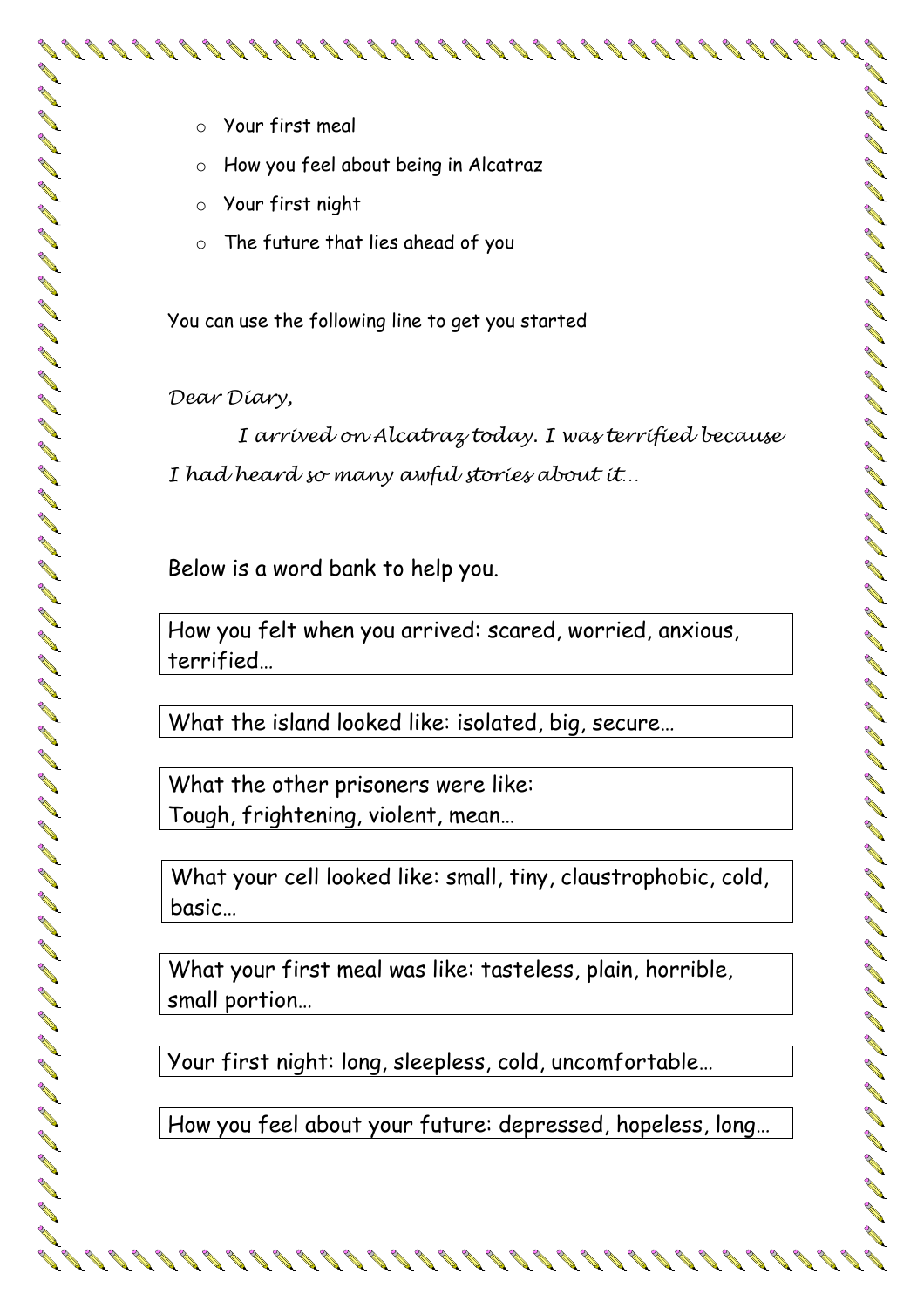- o Your first meal
- o How you feel about being in Alcatraz
- o Your first night
- o The future that lies ahead of you

You can use the following line to get you started

#### *Dear Diary,*

 *I arrived on Alcatraz today. I was terrified because I had heard so many awful stories about it…*

Below is a word bank to help you.

How you felt when you arrived: scared, worried, anxious, terrified…

What the island looked like: isolated, big, secure…

What the other prisoners were like: Tough, frightening, violent, mean…

What your cell looked like: small, tiny, claustrophobic, cold, basic…

What your first meal was like: tasteless, plain, horrible, small portion…

Your first night: long, sleepless, cold, uncomfortable…

How you feel about your future: depressed, hopeless, long…